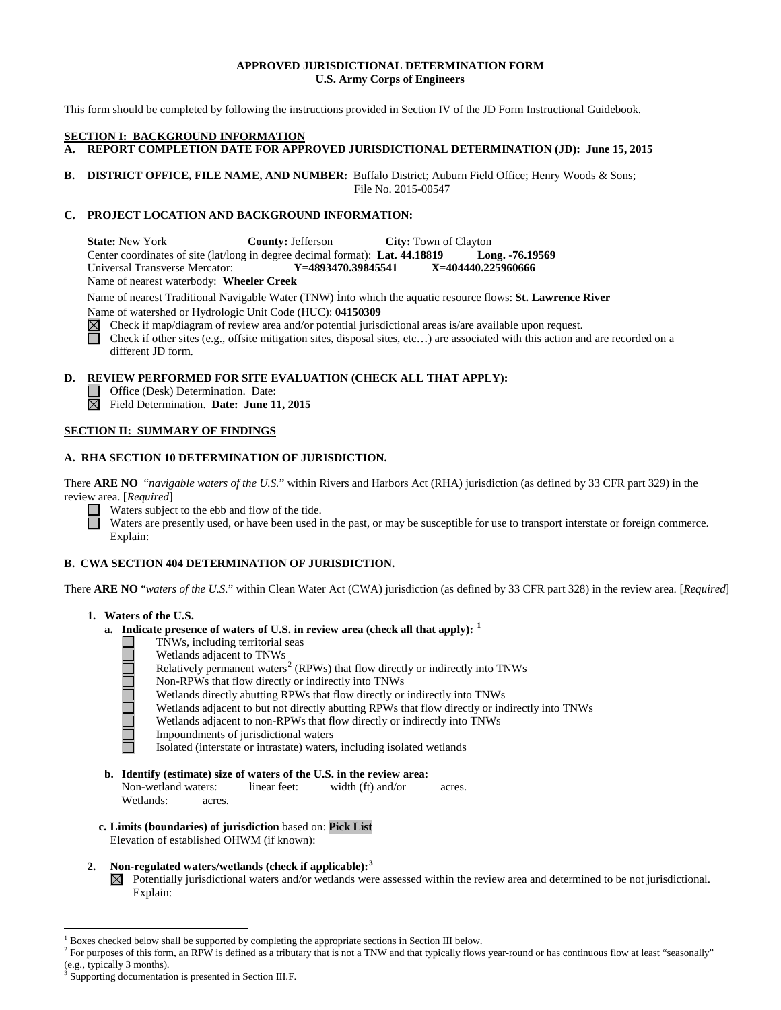# **APPROVED JURISDICTIONAL DETERMINATION FORM U.S. Army Corps of Engineers**

This form should be completed by following the instructions provided in Section IV of the JD Form Instructional Guidebook.

#### **SECTION I: BACKGROUND INFORMATION**

- **A. REPORT COMPLETION DATE FOR APPROVED JURISDICTIONAL DETERMINATION (JD): June 15, 2015**
- **B. DISTRICT OFFICE, FILE NAME, AND NUMBER:** Buffalo District; Auburn Field Office; Henry Woods & Sons; File No. 2015-00547

### **C. PROJECT LOCATION AND BACKGROUND INFORMATION:**

**State:** New York **County:** Jefferson **City:** Town of Clayton Center coordinates of site (lat/long in degree decimal format): **Lat. 44.18819 Long. -76.19569** Universal Transverse Mercator: Name of nearest waterbody: **Wheeler Creek**

Name of nearest Traditional Navigable Water (TNW) into which the aquatic resource flows: **St. Lawrence River** Name of watershed or Hydrologic Unit Code (HUC): **04150309**

Check if map/diagram of review area and/or potential jurisdictional areas is/are available upon request.  $\boxtimes$  $\Box$ Check if other sites (e.g., offsite mitigation sites, disposal sites, etc…) are associated with this action and are recorded on a different JD form.

**D. REVIEW PERFORMED FOR SITE EVALUATION (CHECK ALL THAT APPLY):**

- Office (Desk) Determination. Date:
- Field Determination. **Date: June 11, 2015**

# **SECTION II: SUMMARY OF FINDINGS**

### **A. RHA SECTION 10 DETERMINATION OF JURISDICTION.**

There **ARE NO** "*navigable waters of the U.S.*" within Rivers and Harbors Act (RHA) jurisdiction (as defined by 33 CFR part 329) in the review area. [*Required*]

Waters subject to the ebb and flow of the tide.

Waters are presently used, or have been used in the past, or may be susceptible for use to transport interstate or foreign commerce. Explain:

# **B. CWA SECTION 404 DETERMINATION OF JURISDICTION.**

There **ARE NO** "*waters of the U.S.*" within Clean Water Act (CWA) jurisdiction (as defined by 33 CFR part 328) in the review area. [*Required*]

### **1. Waters of the U.S.**

П

- **a. Indicate presence of waters of U.S. in review area (check all that apply): [1](#page-0-0)**
	- TNWs, including territorial seas 100000000
		- Wetlands adjacent to TNWs
		- Relatively permanent waters<sup>[2](#page-0-1)</sup> (RPWs) that flow directly or indirectly into TNWs
		- Non-RPWs that flow directly or indirectly into TNWs
		- Wetlands directly abutting RPWs that flow directly or indirectly into TNWs
		- Wetlands adjacent to but not directly abutting RPWs that flow directly or indirectly into TNWs
		- Wetlands adjacent to non-RPWs that flow directly or indirectly into TNWs
		- Impoundments of jurisdictional waters

Isolated (interstate or intrastate) waters, including isolated wetlands

- **b. Identify (estimate) size of waters of the U.S. in the review area:** Non-wetland waters: linear feet: width (ft) and/or acres. Wetlands: acres.
- **c. Limits (boundaries) of jurisdiction** based on: **Pick List** Elevation of established OHWM (if known):
- **2. Non-regulated waters/wetlands (check if applicable): [3](#page-0-2)**
	- $\boxtimes$ Potentially jurisdictional waters and/or wetlands were assessed within the review area and determined to be not jurisdictional. Explain:

<span id="page-0-0"></span> <sup>1</sup> Boxes checked below shall be supported by completing the appropriate sections in Section III below.

<span id="page-0-1"></span><sup>&</sup>lt;sup>2</sup> For purposes of this form, an RPW is defined as a tributary that is not a TNW and that typically flows year-round or has continuous flow at least "seasonally" (e.g., typically 3 months).

<span id="page-0-2"></span>Supporting documentation is presented in Section III.F.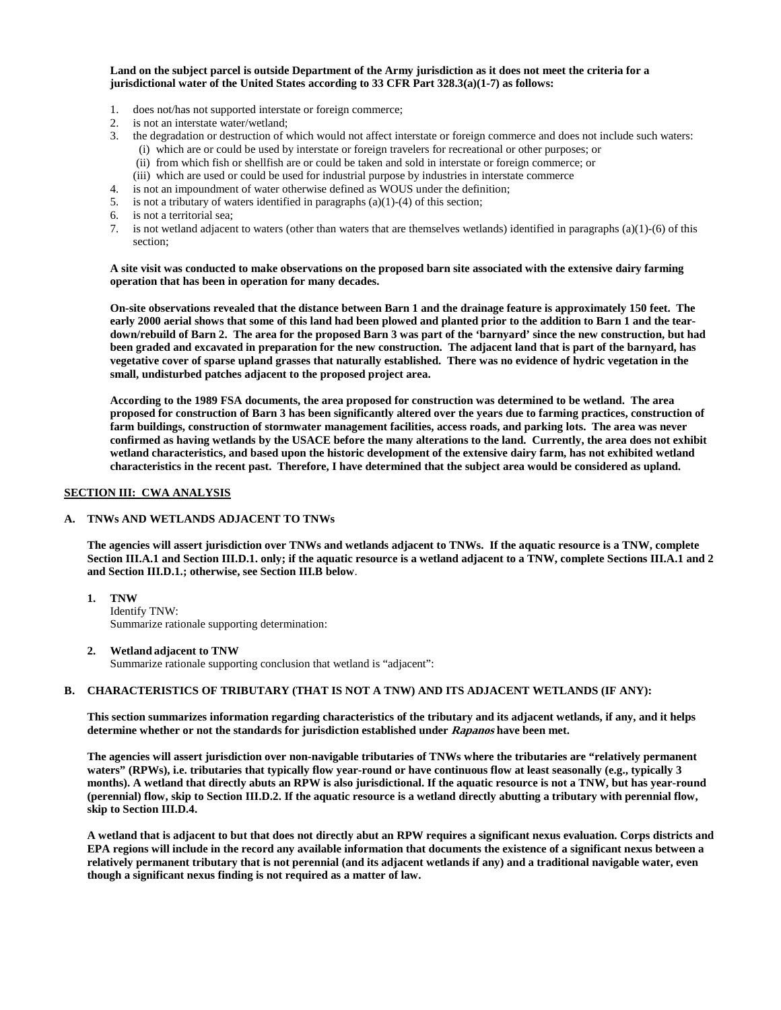**Land on the subject parcel is outside Department of the Army jurisdiction as it does not meet the criteria for a jurisdictional water of the United States according to 33 CFR Part 328.3(a)(1-7) as follows:**

- 1. does not/has not supported interstate or foreign commerce;
- 2. is not an interstate water/wetland;
- 3. the degradation or destruction of which would not affect interstate or foreign commerce and does not include such waters: (i) which are or could be used by interstate or foreign travelers for recreational or other purposes; or
	- (ii) from which fish or shellfish are or could be taken and sold in interstate or foreign commerce; or
	- (iii) which are used or could be used for industrial purpose by industries in interstate commerce
- 4. is not an impoundment of water otherwise defined as WOUS under the definition;
- 5. is not a tributary of waters identified in paragraphs (a)(1)-(4) of this section;
- 6. is not a territorial sea;
- 7. is not wetland adjacent to waters (other than waters that are themselves wetlands) identified in paragraphs (a)(1)-(6) of this section;

**A site visit was conducted to make observations on the proposed barn site associated with the extensive dairy farming operation that has been in operation for many decades.** 

**On-site observations revealed that the distance between Barn 1 and the drainage feature is approximately 150 feet. The early 2000 aerial shows that some of this land had been plowed and planted prior to the addition to Barn 1 and the teardown/rebuild of Barn 2. The area for the proposed Barn 3 was part of the 'barnyard' since the new construction, but had been graded and excavated in preparation for the new construction. The adjacent land that is part of the barnyard, has vegetative cover of sparse upland grasses that naturally established. There was no evidence of hydric vegetation in the small, undisturbed patches adjacent to the proposed project area.** 

**According to the 1989 FSA documents, the area proposed for construction was determined to be wetland. The area proposed for construction of Barn 3 has been significantly altered over the years due to farming practices, construction of farm buildings, construction of stormwater management facilities, access roads, and parking lots. The area was never confirmed as having wetlands by the USACE before the many alterations to the land. Currently, the area does not exhibit wetland characteristics, and based upon the historic development of the extensive dairy farm, has not exhibited wetland characteristics in the recent past. Therefore, I have determined that the subject area would be considered as upland.**

#### **SECTION III: CWA ANALYSIS**

# **A. TNWs AND WETLANDS ADJACENT TO TNWs**

**The agencies will assert jurisdiction over TNWs and wetlands adjacent to TNWs. If the aquatic resource is a TNW, complete Section III.A.1 and Section III.D.1. only; if the aquatic resource is a wetland adjacent to a TNW, complete Sections III.A.1 and 2 and Section III.D.1.; otherwise, see Section III.B below**.

- **1. TNW**  Identify TNW: Summarize rationale supporting determination:
- **2. Wetland adjacent to TNW**  Summarize rationale supporting conclusion that wetland is "adjacent":

# **B. CHARACTERISTICS OF TRIBUTARY (THAT IS NOT A TNW) AND ITS ADJACENT WETLANDS (IF ANY):**

**This section summarizes information regarding characteristics of the tributary and its adjacent wetlands, if any, and it helps determine whether or not the standards for jurisdiction established under Rapanos have been met.** 

**The agencies will assert jurisdiction over non-navigable tributaries of TNWs where the tributaries are "relatively permanent waters" (RPWs), i.e. tributaries that typically flow year-round or have continuous flow at least seasonally (e.g., typically 3 months). A wetland that directly abuts an RPW is also jurisdictional. If the aquatic resource is not a TNW, but has year-round (perennial) flow, skip to Section III.D.2. If the aquatic resource is a wetland directly abutting a tributary with perennial flow, skip to Section III.D.4.**

**A wetland that is adjacent to but that does not directly abut an RPW requires a significant nexus evaluation. Corps districts and EPA regions will include in the record any available information that documents the existence of a significant nexus between a relatively permanent tributary that is not perennial (and its adjacent wetlands if any) and a traditional navigable water, even though a significant nexus finding is not required as a matter of law.**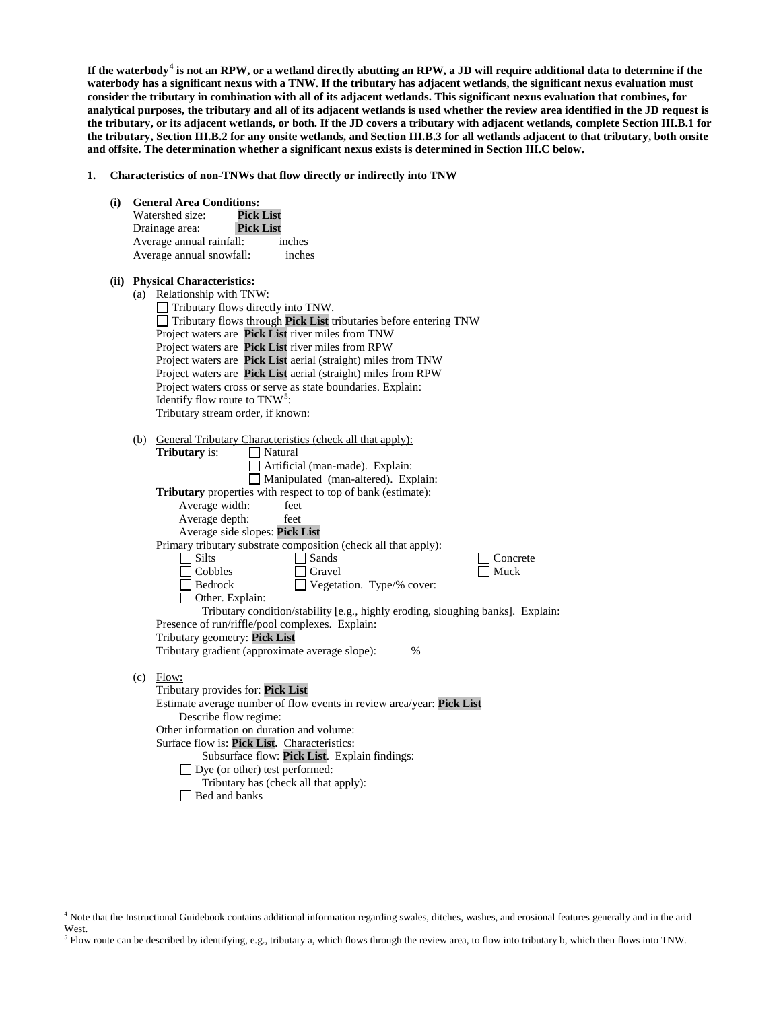**If the waterbody[4](#page-2-0) is not an RPW, or a wetland directly abutting an RPW, a JD will require additional data to determine if the waterbody has a significant nexus with a TNW. If the tributary has adjacent wetlands, the significant nexus evaluation must consider the tributary in combination with all of its adjacent wetlands. This significant nexus evaluation that combines, for analytical purposes, the tributary and all of its adjacent wetlands is used whether the review area identified in the JD request is the tributary, or its adjacent wetlands, or both. If the JD covers a tributary with adjacent wetlands, complete Section III.B.1 for the tributary, Section III.B.2 for any onsite wetlands, and Section III.B.3 for all wetlands adjacent to that tributary, both onsite and offsite. The determination whether a significant nexus exists is determined in Section III.C below.**

- **1. Characteristics of non-TNWs that flow directly or indirectly into TNW**
	- **(i) General Area Conditions:** Watershed size: **Pick List** Drainage area: **Pick List** Average annual rainfall: inches Average annual snowfall: inches **(ii) Physical Characteristics:** (a) Relationship with TNW: Tributary flows directly into TNW. Tributary flows through **Pick List** tributaries before entering TNW Project waters are **Pick List** river miles from TNW Project waters are **Pick List** river miles from RPW Project waters are **Pick List** aerial (straight) miles from TNW Project waters are **Pick List** aerial (straight) miles from RPW Project waters cross or serve as state boundaries. Explain: Identify flow route to TNW<sup>[5](#page-2-1)</sup>: Tributary stream order, if known: (b) General Tributary Characteristics (check all that apply):<br> **Tributary** is:  $\Box$  Natural **Tributary** is: Artificial (man-made). Explain: Manipulated (man-altered). Explain: **Tributary** properties with respect to top of bank (estimate): Average width: feet Average depth: feet Average side slopes: **Pick List** Primary tributary substrate composition (check all that apply): <table>\n<tbody>\n<tr>\n<td>3</td>\n<td>5</td>\n</tr>\n<tr>\n<td>3</td>\n<td>5</td>\n</tr>\n<tr>\n<td>4</td>\n<td>6</td>\n</tr>\n<tr>\n<td>5</td>\n<td>6</td>\n</tr>\n<tr>\n<td>6</td>\n<td>7</td>\n</tr>\n<tr>\n<td>7</td>\n<td>8</td>\n</tr>\n<tr>\n<td>8</td>\n<td>9</td>\n</tr>\n<tr>\n<td>9</td>\n<td>10</td>\n</tr>\n<tr>\n<td>10</td>\n<td>10</td>\n</tr>\n<tr>\n<td>11</td>\n<td>10</td>\n</tr>\n Cobbles Gravel Gravel Muck<br>
	Bedrock Uegetation. Type/% cover:  $\Box$  Vegetation. Type/% cover: □ Other. Explain: Tributary condition/stability [e.g., highly eroding, sloughing banks]. Explain: Presence of run/riffle/pool complexes. Explain: Tributary geometry: **Pick List** Tributary gradient (approximate average slope): % (c) Flow: Tributary provides for: **Pick List** Estimate average number of flow events in review area/year: **Pick List** Describe flow regime: Other information on duration and volume: Surface flow is: **Pick List.** Characteristics: Subsurface flow: **Pick List**. Explain findings: Dye (or other) test performed: Tributary has (check all that apply): **□** Bed and banks

<span id="page-2-0"></span> <sup>4</sup> Note that the Instructional Guidebook contains additional information regarding swales, ditches, washes, and erosional features generally and in the arid West.

<span id="page-2-1"></span> $<sup>5</sup>$  Flow route can be described by identifying, e.g., tributary a, which flows through the review area, to flow into tributary b, which then flows into TNW.</sup>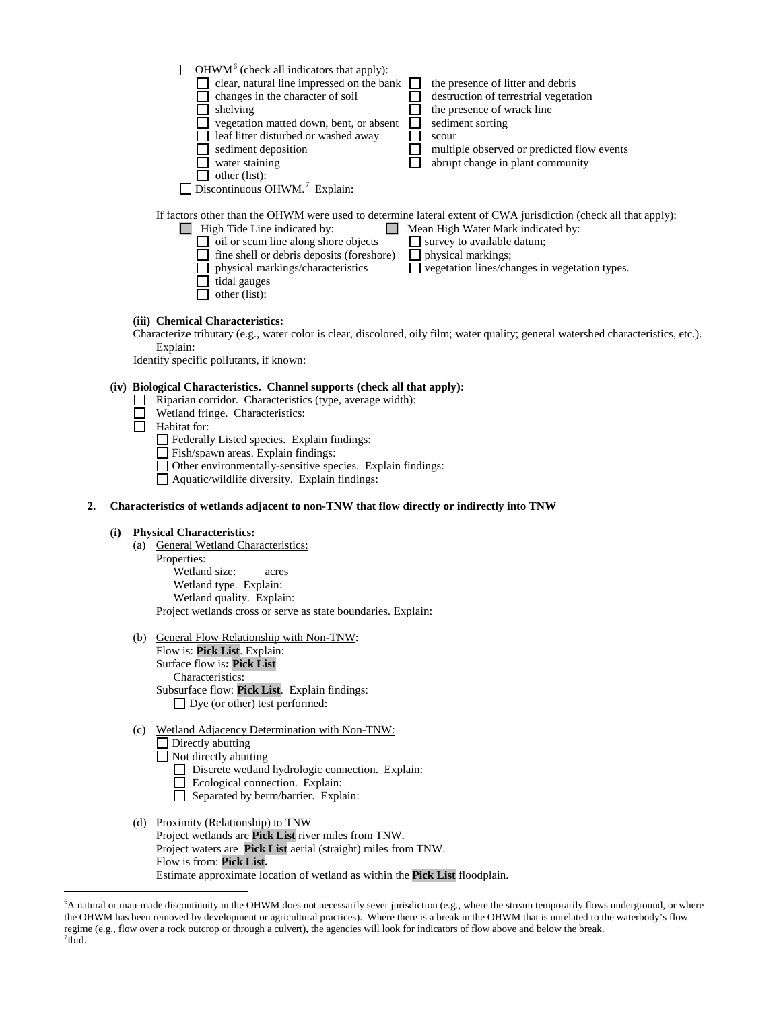|    |     |     | $\sqrt{\frac{1}{10}}$ OHWM <sup>6</sup> (check all indicators that apply):<br>clear, natural line impressed on the bank<br>the presence of litter and debris<br>changes in the character of soil<br>destruction of terrestrial vegetation<br>the presence of wrack line<br>shelving<br>vegetation matted down, bent, or absent<br>sediment sorting<br>leaf litter disturbed or washed away<br>scour<br>multiple observed or predicted flow events<br>sediment deposition<br>abrupt change in plant community<br>water staining<br>other (list):<br>$\sqrt{ }$ Discontinuous OHWM. <sup>7</sup> Explain: |
|----|-----|-----|---------------------------------------------------------------------------------------------------------------------------------------------------------------------------------------------------------------------------------------------------------------------------------------------------------------------------------------------------------------------------------------------------------------------------------------------------------------------------------------------------------------------------------------------------------------------------------------------------------|
|    |     |     | If factors other than the OHWM were used to determine lateral extent of CWA jurisdiction (check all that apply):<br>$\Box$ High Tide Line indicated by:<br>Mean High Water Mark indicated by:<br>$\Box$ oil or scum line along shore objects<br>$\Box$ survey to available datum;<br>fine shell or debris deposits (foreshore)<br>physical markings;<br>physical markings/characteristics<br>vegetation lines/changes in vegetation types.<br>tidal gauges<br>other (list):                                                                                                                             |
|    |     |     | (iii) Chemical Characteristics:<br>Characterize tributary (e.g., water color is clear, discolored, oily film; water quality; general watershed characteristics, etc.).<br>Explain:<br>Identify specific pollutants, if known:                                                                                                                                                                                                                                                                                                                                                                           |
| 2. |     |     | (iv) Biological Characteristics. Channel supports (check all that apply):<br>Riparian corridor. Characteristics (type, average width):<br>Wetland fringe. Characteristics:<br>Habitat for:<br>Federally Listed species. Explain findings:<br>Fish/spawn areas. Explain findings:<br>Other environmentally-sensitive species. Explain findings:<br>Aquatic/wildlife diversity. Explain findings:<br>Characteristics of wetlands adjacent to non-TNW that flow directly or indirectly into TNW                                                                                                            |
|    | (i) |     | <b>Physical Characteristics:</b><br>(a) General Wetland Characteristics:<br>Properties:<br>Wetland size:<br>acres<br>Wetland type. Explain:<br>Wetland quality. Explain:<br>Project wetlands cross or serve as state boundaries. Explain:                                                                                                                                                                                                                                                                                                                                                               |
|    |     |     | (b) General Flow Relationship with Non-TNW:<br>Flow is: Pick List. Explain:<br>Surface flow is: Pick List<br>Characteristics:<br>Subsurface flow: Pick List. Explain findings:<br>$\Box$ Dye (or other) test performed:                                                                                                                                                                                                                                                                                                                                                                                 |
|    |     | (c) | Wetland Adjacency Determination with Non-TNW:<br>Directly abutting<br>Not directly abutting<br>Discrete wetland hydrologic connection. Explain:<br>Ecological connection. Explain:<br>Separated by berm/barrier. Explain:                                                                                                                                                                                                                                                                                                                                                                               |
|    |     |     | (d) Proximity (Relationship) to TNW<br>Project wetlands are Pick List river miles from TNW.                                                                                                                                                                                                                                                                                                                                                                                                                                                                                                             |

Project wetlands are **Pick List** river miles from TNW. Project waters are **Pick List** aerial (straight) miles from TNW. Flow is from: **Pick List.** Estimate approximate location of wetland as within the **Pick List** floodplain.

<span id="page-3-1"></span><span id="page-3-0"></span> <sup>6</sup> <sup>6</sup>A natural or man-made discontinuity in the OHWM does not necessarily sever jurisdiction (e.g., where the stream temporarily flows underground, or where the OHWM has been removed by development or agricultural practices). Where there is a break in the OHWM that is unrelated to the waterbody's flow regime (e.g., flow over a rock outcrop or through a culvert), the agencies will look for indicators of flow above and below the break. <sup>7</sup>  $7$ Ibid.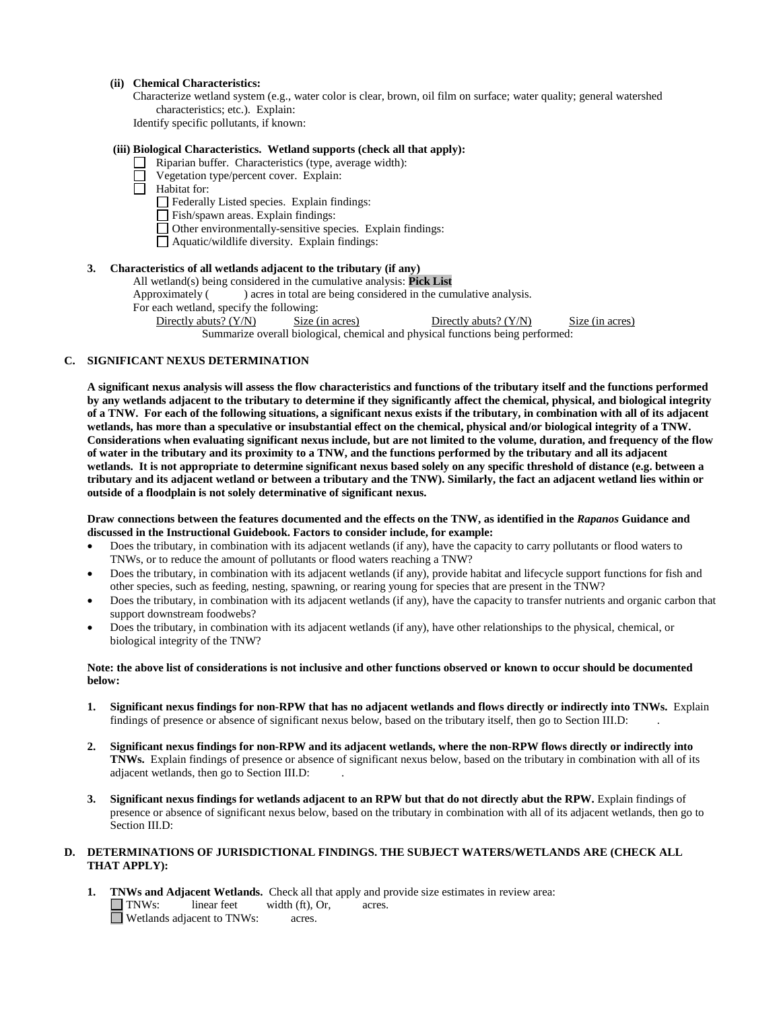#### **(ii) Chemical Characteristics:**

Characterize wetland system (e.g., water color is clear, brown, oil film on surface; water quality; general watershed characteristics; etc.). Explain:

Identify specific pollutants, if known:

# **(iii) Biological Characteristics. Wetland supports (check all that apply):**

- Riparian buffer. Characteristics (type, average width):
	- Vegetation type/percent cover. Explain:

 $\overline{\Box}$  Habitat for:

- Federally Listed species. Explain findings:
- Fish/spawn areas. Explain findings:
- Other environmentally-sensitive species. Explain findings:
- Aquatic/wildlife diversity. Explain findings:

#### **3. Characteristics of all wetlands adjacent to the tributary (if any)**

All wetland(s) being considered in the cumulative analysis: **Pick List**

Approximately () acres in total are being considered in the cumulative analysis.

For each wetland, specify the following:

Directly abuts? (Y/N) Size (in acres) Directly abuts? (Y/N) Size (in acres) Summarize overall biological, chemical and physical functions being performed:

#### **C. SIGNIFICANT NEXUS DETERMINATION**

**A significant nexus analysis will assess the flow characteristics and functions of the tributary itself and the functions performed by any wetlands adjacent to the tributary to determine if they significantly affect the chemical, physical, and biological integrity of a TNW. For each of the following situations, a significant nexus exists if the tributary, in combination with all of its adjacent wetlands, has more than a speculative or insubstantial effect on the chemical, physical and/or biological integrity of a TNW. Considerations when evaluating significant nexus include, but are not limited to the volume, duration, and frequency of the flow of water in the tributary and its proximity to a TNW, and the functions performed by the tributary and all its adjacent wetlands. It is not appropriate to determine significant nexus based solely on any specific threshold of distance (e.g. between a tributary and its adjacent wetland or between a tributary and the TNW). Similarly, the fact an adjacent wetland lies within or outside of a floodplain is not solely determinative of significant nexus.** 

#### **Draw connections between the features documented and the effects on the TNW, as identified in the** *Rapanos* **Guidance and discussed in the Instructional Guidebook. Factors to consider include, for example:**

- Does the tributary, in combination with its adjacent wetlands (if any), have the capacity to carry pollutants or flood waters to TNWs, or to reduce the amount of pollutants or flood waters reaching a TNW?
- Does the tributary, in combination with its adjacent wetlands (if any), provide habitat and lifecycle support functions for fish and other species, such as feeding, nesting, spawning, or rearing young for species that are present in the TNW?
- Does the tributary, in combination with its adjacent wetlands (if any), have the capacity to transfer nutrients and organic carbon that support downstream foodwebs?
- Does the tributary, in combination with its adjacent wetlands (if any), have other relationships to the physical, chemical, or biological integrity of the TNW?

### **Note: the above list of considerations is not inclusive and other functions observed or known to occur should be documented below:**

- **1. Significant nexus findings for non-RPW that has no adjacent wetlands and flows directly or indirectly into TNWs.** Explain findings of presence or absence of significant nexus below, based on the tributary itself, then go to Section III.D: .
- **2. Significant nexus findings for non-RPW and its adjacent wetlands, where the non-RPW flows directly or indirectly into TNWs.** Explain findings of presence or absence of significant nexus below, based on the tributary in combination with all of its adjacent wetlands, then go to Section III.D: .
- **3. Significant nexus findings for wetlands adjacent to an RPW but that do not directly abut the RPW.** Explain findings of presence or absence of significant nexus below, based on the tributary in combination with all of its adjacent wetlands, then go to Section III.D:

#### **D. DETERMINATIONS OF JURISDICTIONAL FINDINGS. THE SUBJECT WATERS/WETLANDS ARE (CHECK ALL THAT APPLY):**

**1. TNWs and Adjacent Wetlands.** Check all that apply and provide size estimates in review area:<br>
TNWs: linear feet width (ft), Or, acres.  $I$  linear feet width (ft), Or, acres. Wetlands adjacent to TNWs: acres.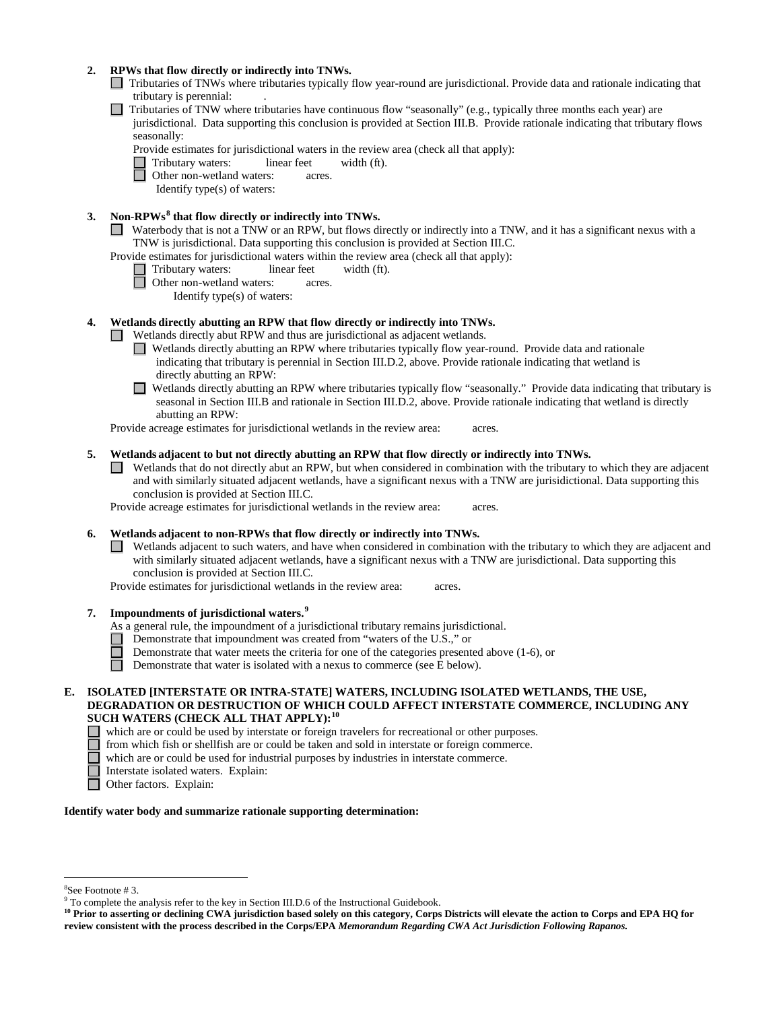# **2. RPWs that flow directly or indirectly into TNWs.**

- Tributaries of TNWs where tributaries typically flow year-round are jurisdictional. Provide data and rationale indicating that tributary is perennial: .
- Tributaries of TNW where tributaries have continuous flow "seasonally" (e.g., typically three months each year) are

jurisdictional. Data supporting this conclusion is provided at Section III.B. Provide rationale indicating that tributary flows seasonally:

Provide estimates for jurisdictional waters in the review area (check all that apply):

Tributary waters: linear feet width (ft).

Other non-wetland waters: acres.

Identify type(s) of waters:

# **3. Non-RPWs[8](#page-5-0) that flow directly or indirectly into TNWs.**

Waterbody that is not a TNW or an RPW, but flows directly or indirectly into a TNW, and it has a significant nexus with a TNW is jurisdictional. Data supporting this conclusion is provided at Section III.C.

Provide estimates for jurisdictional waters within the review area (check all that apply): Tributary waters: linear feet width (ft).<br>
Other non-wetland waters: computed width (ft).

- - Other non-wetland waters: acres.

Identify type(s) of waters:

### **4. Wetlands directly abutting an RPW that flow directly or indirectly into TNWs.**

Wetlands directly abut RPW and thus are jurisdictional as adjacent wetlands.

- Wetlands directly abutting an RPW where tributaries typically flow year-round. Provide data and rationale indicating that tributary is perennial in Section III.D.2, above. Provide rationale indicating that wetland is directly abutting an RPW:
- Wetlands directly abutting an RPW where tributaries typically flow "seasonally." Provide data indicating that tributary is seasonal in Section III.B and rationale in Section III.D.2, above. Provide rationale indicating that wetland is directly abutting an RPW:

Provide acreage estimates for jurisdictional wetlands in the review area: acres.

### **5. Wetlands adjacent to but not directly abutting an RPW that flow directly or indirectly into TNWs.**

Wetlands that do not directly abut an RPW, but when considered in combination with the tributary to which they are adjacent and with similarly situated adjacent wetlands, have a significant nexus with a TNW are jurisidictional. Data supporting this conclusion is provided at Section III.C.

Provide acreage estimates for jurisdictional wetlands in the review area: acres.

#### **6. Wetlands adjacent to non-RPWs that flow directly or indirectly into TNWs.**

Wetlands adjacent to such waters, and have when considered in combination with the tributary to which they are adjacent and with similarly situated adjacent wetlands, have a significant nexus with a TNW are jurisdictional. Data supporting this conclusion is provided at Section III.C.

Provide estimates for jurisdictional wetlands in the review area: acres.

### **7. Impoundments of jurisdictional waters. [9](#page-5-1)**

- As a general rule, the impoundment of a jurisdictional tributary remains jurisdictional.
- Demonstrate that impoundment was created from "waters of the U.S.," or
- Demonstrate that water meets the criteria for one of the categories presented above (1-6), or
- $\Box$ Demonstrate that water is isolated with a nexus to commerce (see E below).
- **E. ISOLATED [INTERSTATE OR INTRA-STATE] WATERS, INCLUDING ISOLATED WETLANDS, THE USE, DEGRADATION OR DESTRUCTION OF WHICH COULD AFFECT INTERSTATE COMMERCE, INCLUDING ANY SUCH WATERS (CHECK ALL THAT APPLY):[10](#page-5-2)**

which are or could be used by interstate or foreign travelers for recreational or other purposes.

- from which fish or shellfish are or could be taken and sold in interstate or foreign commerce.
- $\Box$  which are or could be used for industrial purposes by industries in interstate commerce.
	- Interstate isolated waters.Explain:
- П Other factors.Explain:

#### **Identify water body and summarize rationale supporting determination:**

 <sup>8</sup>

<span id="page-5-0"></span> ${}^{8}$ See Footnote # 3.<br>9 To complete the analysis refer to the key in Section III.D.6 of the Instructional Guidebook.

<span id="page-5-2"></span><span id="page-5-1"></span>**<sup>10</sup> Prior to asserting or declining CWA jurisdiction based solely on this category, Corps Districts will elevate the action to Corps and EPA HQ for review consistent with the process described in the Corps/EPA** *Memorandum Regarding CWA Act Jurisdiction Following Rapanos.*